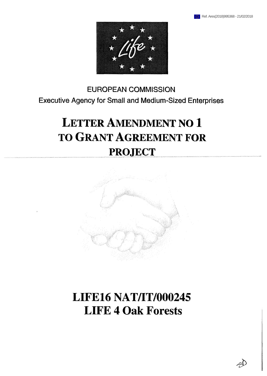

# **EUROPEAN COMMISSION Executive Agency for Small and Medium-Sized Enterprises**

# **Letter Amendment no 1 to Grant Agreement for ............project..... ...............**



# **LIFE16 NAT/IT/000245 LIFE 4 Oak Forests**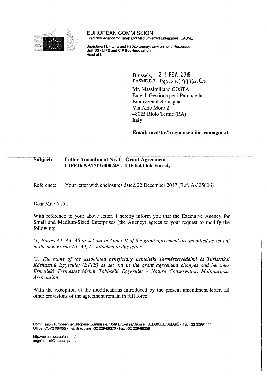

**EUROPEAN COMMISSION** Executive Agency for Small and Medium-sized Enterprises (EASME)

Department B - LIFE and H2020 Energy, Environment, Resources **Unit B3 - LIFE and CIP Eco-Innovation** Head of Unit

> Brussels, **2 <sup>1</sup> FEV.** 2018  $EASME.B.3 \quad D(2018)/112065$

Mr. Massimiliano COSTA Ente di Gestione per i Parchi e la Biodiversità-Romagna Via Aldo Moro 2 48025 Riolo Terme (RA) Italy

**Email: mcosta@regione.emilia-romagna.it**

### **Subject: Letter Amendment Nr. 1 - Grant Agreement LIFE16 NAT/IT/000245 - LIFE 4 Oak Forests**

Reference: Your letter with enclosures dated 22 December 2017 (Ref. A-325606)

Dear Mr. Costa,

With reference to your above letter, I hereby inform you that the Executive Agency for Small and Medium-Sized Enterprises (the Agency) agrees to your request to modify the following:

*(1) Forms Al, A4, A5 as set out in Annex II of the grant agreement are modified as set out in the new Forms Al, A4, A5 attached to this letter.*

*(2) The name of the associated beneficiary Érmelléki Természetvédelmi és Turisztikai Közhasznú Egyesület (ETTE) as set out in the grant agreement changes and becomes Érmelléki Természetvédelmi Többcélú Egyesület - Nature Conservation Multipurpose Association.*

With the exception of the modifications introduced by the present amendment letter, all other provisions of the agreement remain in full force.

Commission européenne/Europese Commissie, 1049 Bruxelles/Brussel, BELGIQUE/BELGIË - Tel. +32 22991111 Office: COV2 08/055 - Tel. direct line +32 229-69376 - Fax +32 229-86258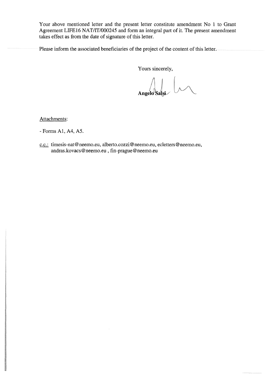Your above mentioned letter and the present letter constitute amendment No <sup>1</sup> to Grant Agreement LIFE16 NAT/IT/000245 and form an integral part of it. The present amendment takes effect as from the date of signature of this letter.

Please inform the associated beneficiaries of the project of the content of this letter.

Yours sincerely,

Angelo $S$ algi

Attachments:

- Forms Al, A4, A5.

c.c.: [timesis-nat@neemo.eu,](mailto:timesis-nat@neemo.eu) [alberto.cozzi@neemo.eu](mailto:alberto.cozzi@neemo.eu), [ecletters@neemo.eu](mailto:ecletters@neemo.eu), [andras.kovacs@neemo.eu,](mailto:andras.kovacs@neemo.eu) [fin-prague@neemo.eu](mailto:fin-prague@neemo.eu)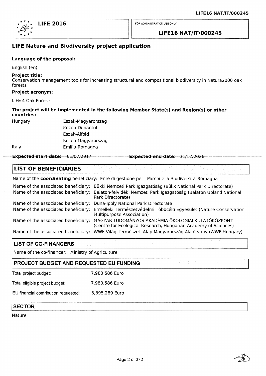

### **LIFE16 NAT/IT/000245**

# **LIFE Nature and Biodiversity project application**

#### **Language of the proposal:**

English (en)

#### **Project title:**

Conservation management tools for increasing structural and compositional biodiversity in Natura2000 oak forests

#### **Project acronym:**

LIFE 4 Oak Forests

#### **The project will be implemented in the following Member State(s) and Region(s) or other countries:**

Hungary Eszak-Magyarorszag Kozep-Dunantul Eszak-Alfold Kozep-Magyarorszag Italy Emilia-Romagna

**Expected start date:** 01/07/2017 **Expected end date:** 31/12/2026

#### **LIST OF BENEFICIARIES**

Name of the **coordinating** beneficiary: Ente di gestione per <sup>i</sup> Parchi e la Biodiversità-Romagna

| Name of the associated beneficiary:<br>Name of the associated beneficiary: | Bükki Nemzeti Park Igazgatóság (Bükk National Park Directorate)<br>Balaton-felvidéki Nemzeti Park Igazgatóság (Balaton Upland National<br>Park Directorate) |
|----------------------------------------------------------------------------|-------------------------------------------------------------------------------------------------------------------------------------------------------------|
| Name of the associated beneficiary:                                        | Duna-Ipoly National Park Directorate                                                                                                                        |
| Name of the associated beneficiary:                                        | Érmelléki Természetvédelmi Többcélú Egyesület (Nature Conservation<br>Multipurpose Association)                                                             |
| Name of the associated beneficiary:                                        | MAGYAR TUDOMÁNYOS AKADÉMIA ÖKOLOGIAI KUTATÓKÖZPONT<br>(Centre for Ecological Research, Hungarian Academy of Sciences)                                       |
|                                                                            | Name of the associated beneficiary: WWF Világ Természeti Alap Magyarország Alapítvány (WWF Hungary)                                                         |

## **LIST OF CO-FINANCERS**

Name of the co-financer: Ministry of Agriculture

# **PROJECT BUDGET AND REQUESTED EU FUNDING** Total project budget: 7,980,586 Euro Total eligible project budget: 7,980,586 Euro EU financial contribution requested: 5,895,289 Euro

## **SECTOR**

Nature

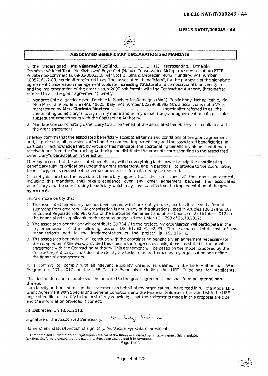#### **LIFE16 NAT/IT/000245 <sup>&</sup>gt; A4**



#### **ASSOCIATED BENEFICIARE DECLARATION and MANDATE**

1, the undersigned, **Mr. Vásárhelyi Szilárd**................. .......... (1), representing, Érmelléki Természetvédelmi Többcélú Közhasznú Egyesület (Nature Conservation Multipurpose Association) ETTE, Private non-commercial, 09-02-0003518, Vár utca 2. l,em.2, Debrecen, 4042, Hungary, VAT number 18997161-2-09, hereinafter referred to as "the associated beneficiary", for the purposes of the signature agreement Conservation management tools for increasing structural and compositional biodiversity in and the Implementation of the grant Natura20QQ oak forests with the Contracting Authority (hereinafter referred to as "the grant agreement") hereby:

- 1, Mandate Ente di gestione per <sup>i</sup> Parchi e la Siodiversità-Romagna (MAR), Public body, Not aplicable, Via Aldo Moro, 2, Riolo Terme (RA), 48025, Italy, VAT number 02229630393 (it's a fiscal code, not a VAT), represented by **Mrs.** Clorinda **Mortero............**........................... (hereinafter referred to as "the coordinating beneficiary") to sign in my name and on my behalf the grant agreement and Its possible subsequent amendments with the Contracting Authority.
- 2. Mandate the coordinating beneficiary to act on behalf of the associated beneficiary in compliance with the grant agreement.

<sup>I</sup> hereby confirm that the associated beneficiary accepts all terms and conditions of the grant agreement and, in particular, all provisions affecting the coordinating beneficiary and the associated beneficiaries. In particular, <sup>I</sup> acknowledge that, by virtue of this mandate, the coordinating beneficiary alone is entitled to receive funds from the Contracting Authority and distribute the amounts corresponding to the associated beneficiary"s participation in the action.

<sup>i</sup> hereby accept that the associated beneficiary will do everything In its power to help the coordinating beneficiary fulfil its obligations under the grant agreement, and in particular, to provide to the coordinating beneficiary, on Its request, whatever documents or information may be required.

<sup>I</sup> hereby declare that the associated beneficiary agrees that the provisions of the grant agreement, including this mandate, shall take precedence over any other agreement between the associated beneficiary and the coordinating beneficiary which may have an effect on the implementation of the grant agreement.

<sup>I</sup> furthermore certify that:

- 1. Tne associated beneficiary has not been served with bankruptcy orders, nor has It received a formai summons from creditors. My organisation is not in any of the situations listed in Articles 106(1) and 107 of Council Regulation No 966/2012 of the European Parliament and of the Council *of* 25 October 2012 on the financial rules applicable to the general budget of the Union (OJ L298 of 26,10.2012).
- 2. The associated beneficiary will contribute 38,754  $\epsilon$  to the project. My organisation will participate in the implementation of the following actions; D3, El, E2, FI, F2, F3, The estimated total cost of my organisation's part in the implementation of the project is  $155,016$  €.
- 3. The associated beneficiary will conclude with the coordinating beneficiary an agreement necessary for the completion of the work, provided this does not infringe on our obligations, as stated in the grant agreement with the Contracting Authority, This agreement will be based on the model proposed by the Contracting Authority. It wili describe clearly the tasks to be performed by my organisation and define the financial arrangements.

4. <sup>I</sup> commit to comply with all relevant eligibility criteria, as defined in the LIFE Multiannual Work Programme 2014-2017 and the LIFE Call for Proposals including the LIFE Guidelines for Applicants.

This declaration and mandate shall be annexed to the grant agreement and shall form an integral part thereof.

<sup>I</sup> am legally authorised to sign this statement on behalf of my organisation. <sup>I</sup> have read in full the Model LIFE Grant Agreement with Special and General Conditions and the Financial Guidelines (provided with the LIFE application files). <sup>I</sup> certify to the best of my knowledge that the statements made in this proposal are true and the information provided is correct.

At .Debrecen, On 18.01.2018,

Signature of the Associated Beneficiary:  $\frac{1}{2}$  and  $\frac{1}{2}$  high-

Namefs) and status/function of signatory: Mr. Vásárhelyi Szilárd, president

1. Forename and surname of the legal representative of the future associated beneficiary signing this mandate. 2. When the form is completed, please print, sign, scan and upload it in eProposal

Page 1 of 1